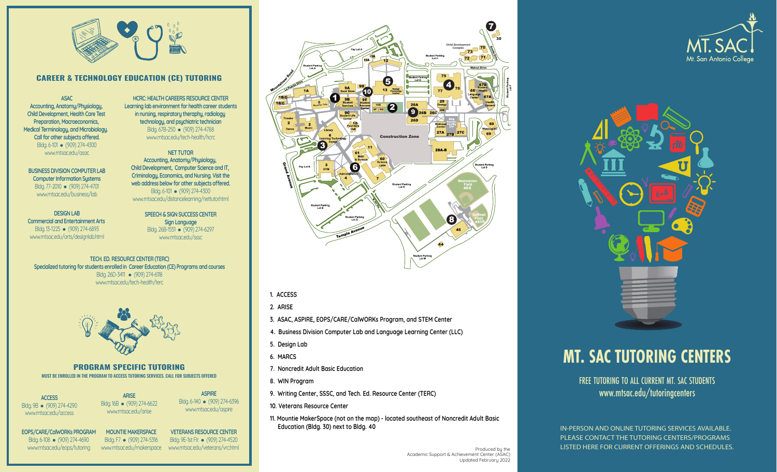

# **CAREER & TECHNOLOGY EDUCATION (CE) TUTORING**

**ASAC Accounting, Anatomy/Physiology, Child Development, Health Care Test Preparation, Macroeconomics, Medical Terminology, and Microbiology. Call for other subjects offered.** Bldg. 6-101 • (909) 274-4300 www.mtsac.edu/asac

**HCRC: HEALTH CAREERS RESOURCE CENTER Learning lab environment for health career student s in nursing, respiratory theraphy, radiology technology, and psychiatric technician**  Bldg. 67B-250 (909) 274-4788

**BUSINESS DIVISION COMPUTER LAB Computer Information Systems**  Bldg. 77-2010 · (909) 274-4701 <www.mtsac.edu/business/lab>

**DESIGN LAB Commercial and Entertainment Arts**  Bldg. 13-1225 • (909) 274-6893 <www.mtsac.edu/arts/designlab.html>

<www.mtsac.edu/tech-health/hcrc> **NET TUTOR Accounting, Anatomy/Physiology, Child Development, Computer Science and IT,** 

**Criminology, Economics, and Nursing. Visit the web address below for other subjects offered.** Bldg. 6-101 • (909) 274-4300 <www.mtsac.edu/distancelearning/nettutor.html>

> **SPEECH & SIGN SUCCESS CENTER Sign Language**  Bldg. 26B-1551 • (909) 274-6297 <www.mtsac.edu/sssc>

**TECH. ED. RESOURCE CENTER (TERC) Specialized tutoring for students enrolled in Career Education (CE) Programs and courses**  Bldg. 26D-3411 • (909) 274-6118 <www.mtsac.edu/tech-health/terc>



**PROGRAM SPECIFIC TUTORING**  MUST BE ENROLLED IN THE PROGRAM TO ACCESS TUTORING SERVICES. CALL FOR SUBJECTS OFFERED

**ACCESS**  Bldg. 9B • (909) 274-4290 <www.mtsac.edu/access>

Bldg. 16B • (909) 274-6622 <www.mtsac.edu/arise>

Bldg. 6-140 • (909) 274-6396 <www.mtsac.edu/aspire>

**EOPS/CARE/CalWORKs PROGRAM**  Bldg. 6-108 · (909) 274-4690 <www.mtsac.edu/eops/tutoring>

**MOUNTIE MAKERSPACE**  Bldg. F7 • (909) 274-5316 **VETERANS RESOURCE CENTER**  Bldg. 9E-1st Flr. • (909) 274-4520

7 30 **Child Development**  73 <sup>70</sup> **Complex**  72 71 79  $\frac{1}{3}$   $\frac{3 \text{ psign}}{1 \text{ technology}}$   $\frac{1}{3}$   $\frac{1}{77}$  $\overline{\mathbf{4}}$ 0 1B/C 1  $9E$  $1B/C$  $\frac{29}{5}$ **8 9** 26A 26C **Mountie Cafe**  16E **26D** 27A 27B 27C Construction Zone 3 28A B dent Parkin<br>Lot S 6 **Student Parkin** 8

#### **1. ACCESS**

**2. ARISE** 

- **3. ASAC, ASPIRE, EOPS/CARE/CalWORKs Program, and STEM Center**
- **4. Business Division Computer Lab and Language Learning Center (LLC)**
- **5. Design Lab**
- 
- **7. Noncredit Adult Basic Education**
- 
- 
- **10. Veterans Resource Center**
- **11. Mountie MakerSpace (not on the map) located southeast of Noncredit Adult Basic Education (Bldg. 30) next to Bldg. 40** IN-PERSON AND ONLINE TUTORING SERVICES AVAILABLE.

<www.mtsac.edu/makerspace><www.mtsac.edu/veterans/vrc.html>Produced by the control of the control of the control of the control of the control of the control of the control of the control of the control of the control of the Academic Support & Achievement Center (ASAC) Updated February 2022





# *6. MARCS* **<b>MT. SAC TUTORING CENTERS**

**8. WIN Program** FREE TUTORING TO ALL CURRENT MT. SAC STUDENTS ARISE **AND ASPIRE ARISE ARISE ARISE ARISE ARISE ARISE ARISE ARISE ARISE ARISE ARISE ARISE ARISE ARISE ARISE ARISE ARISE ARISE ARISE ARISE ARISE ARISE ARISE ARISE ARISE ARISE ARISE ARISE ARISE ARISE ARISE ARISE ARISE ARISE** 

> PLEASE CONTACT THE TUTORING CENTERS/PROGRAMS LISTED HERE FOR CURRENT OFFERINGS AND SCHEDULES.